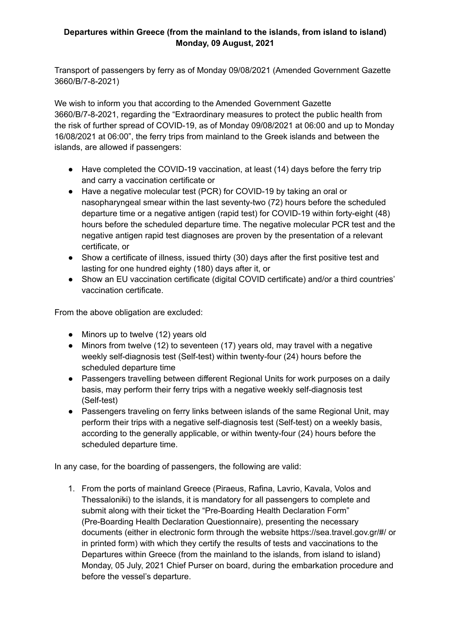## **Departures within Greece (from the mainland to the islands, from island to island) Monday, 09 August, 2021**

Transport of passengers by ferry as of Monday 09/08/2021 (Amended Government Gazette 3660/B/7-8-2021)

We wish to inform you that according to the Amended Government Gazette 3660/B/7-8-2021, regarding the "Extraordinary measures to protect the public health from the risk of further spread of COVID-19, as of Monday 09/08/2021 at 06:00 and up to Monday 16/08/2021 at 06:00", the ferry trips from mainland to the Greek islands and between the islands, are allowed if passengers:

- Have completed the COVID-19 vaccination, at least (14) days before the ferry trip and carry a vaccination certificate or
- Have a negative molecular test (PCR) for COVID-19 by taking an oral or nasopharyngeal smear within the last seventy-two (72) hours before the scheduled departure time or a negative antigen (rapid test) for COVID-19 within forty-eight (48) hours before the scheduled departure time. The negative molecular PCR test and the negative antigen rapid test diagnoses are proven by the presentation of a relevant certificate, or
- Show a certificate of illness, issued thirty (30) days after the first positive test and lasting for one hundred eighty (180) days after it, or
- Show an EU vaccination certificate (digital COVID certificate) and/or a third countries' vaccination certificate.

From the above obligation are excluded:

- Minors up to twelve (12) years old
- Minors from twelve (12) to seventeen (17) years old, may travel with a negative weekly self-diagnosis test (Self-test) within twenty-four (24) hours before the scheduled departure time
- Passengers travelling between different Regional Units for work purposes on a daily basis, may perform their ferry trips with a negative weekly self-diagnosis test (Self-test)
- Passengers traveling on ferry links between islands of the same Regional Unit, may perform their trips with a negative self-diagnosis test (Self-test) on a weekly basis, according to the generally applicable, or within twenty-four (24) hours before the scheduled departure time.

In any case, for the boarding of passengers, the following are valid:

1. From the ports of mainland Greece (Piraeus, Rafina, Lavrio, Kavala, Volos and Thessaloniki) to the islands, it is mandatory for all passengers to complete and submit along with their ticket the "Pre-Boarding Health Declaration Form" (Pre-Boarding Health Declaration Questionnaire), presenting the necessary documents (either in electronic form through the website https://sea.travel.gov.gr/#/ or in printed form) with which they certify the results of tests and vaccinations to the Departures within Greece (from the mainland to the islands, from island to island) Monday, 05 July, 2021 Chief Purser on board, during the embarkation procedure and before the vessel's departure.